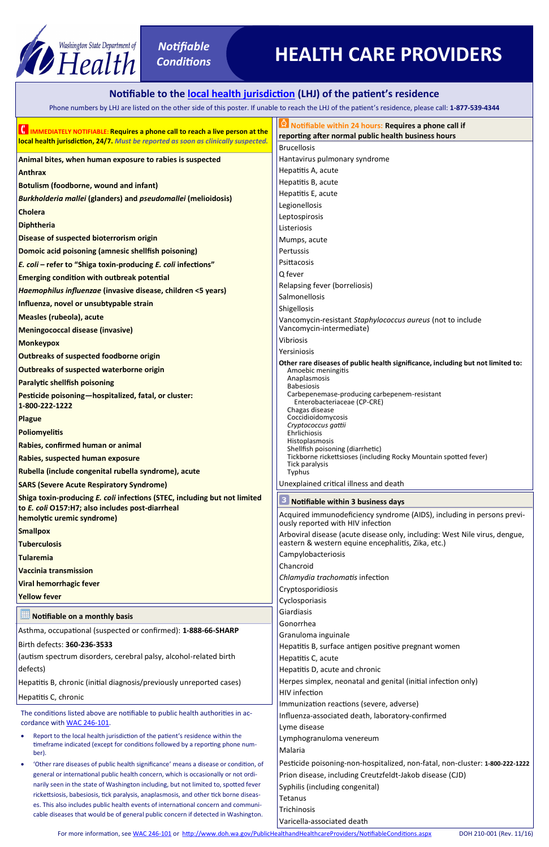- Report to the local health jurisdiction of the patient's residence within the timeframe indicated (except for conditions followed by a reporting phone number).
- 'Other rare diseases of public health significance' means a disease or condition, of general or international public health concern, which is occasionally or not ordinarily seen in the state of Washington including, but not limited to, spotted fever rickettsiosis, babesiosis, tick paralysis, anaplasmosis, and other tick borne diseases. This also includes public health events of international concern and communicable diseases that would be of general public concern if detected in Washington.

| HIMMEDIATELY NOTIFIABLE: Requires a phone call to reach a live person at the<br>local health jurisdiction, 24/7. Must be reported as soon as clinically suspected. | <b>O</b> Notifiable within 24 hours: Requires a phone call if<br>reporting after normal public health business hours             |  |  |
|--------------------------------------------------------------------------------------------------------------------------------------------------------------------|----------------------------------------------------------------------------------------------------------------------------------|--|--|
|                                                                                                                                                                    | <b>Brucellosis</b>                                                                                                               |  |  |
| Animal bites, when human exposure to rabies is suspected                                                                                                           | Hantavirus pulmonary syndrome                                                                                                    |  |  |
| <b>Anthrax</b>                                                                                                                                                     | Hepatitis A, acute                                                                                                               |  |  |
| <b>Botulism (foodborne, wound and infant)</b>                                                                                                                      | Hepatitis B, acute                                                                                                               |  |  |
| <b>Burkholderia mallei (glanders) and pseudomallei (melioidosis)</b>                                                                                               | Hepatitis E, acute                                                                                                               |  |  |
| <b>Cholera</b>                                                                                                                                                     | Legionellosis                                                                                                                    |  |  |
| <b>Diphtheria</b>                                                                                                                                                  | Leptospirosis<br>Listeriosis                                                                                                     |  |  |
| Disease of suspected bioterrorism origin                                                                                                                           | Mumps, acute                                                                                                                     |  |  |
| Domoic acid poisoning (amnesic shellfish poisoning)                                                                                                                | Pertussis                                                                                                                        |  |  |
| E. coli - refer to "Shiga toxin-producing E. coli infections"                                                                                                      | Psittacosis                                                                                                                      |  |  |
| <b>Emerging condition with outbreak potential</b>                                                                                                                  | Q fever                                                                                                                          |  |  |
| Haemophilus influenzae (invasive disease, children <5 years)                                                                                                       | Relapsing fever (borreliosis)                                                                                                    |  |  |
| Influenza, novel or unsubtypable strain                                                                                                                            | Salmonellosis                                                                                                                    |  |  |
| <b>Measles (rubeola), acute</b>                                                                                                                                    | Shigellosis                                                                                                                      |  |  |
| <b>Meningococcal disease (invasive)</b>                                                                                                                            | Vancomycin-resistant Staphylococcus aureus (not to include<br>Vancomycin-intermediate)                                           |  |  |
| <b>Monkeypox</b>                                                                                                                                                   | Vibriosis                                                                                                                        |  |  |
| <b>Outbreaks of suspected foodborne origin</b>                                                                                                                     | Yersiniosis                                                                                                                      |  |  |
| <b>Outbreaks of suspected waterborne origin</b>                                                                                                                    | Other rare diseases of public health significance, including but not limited to:<br>Amoebic meningitis                           |  |  |
| <b>Paralytic shellfish poisoning</b>                                                                                                                               | Anaplasmosis<br><b>Babesiosis</b>                                                                                                |  |  |
| Pesticide poisoning-hospitalized, fatal, or cluster:                                                                                                               | Carbepenemase-producing carbepenem-resistant                                                                                     |  |  |
| 1-800-222-1222                                                                                                                                                     | Enterobacteriaceae (CP-CRE)<br>Chagas disease                                                                                    |  |  |
| <b>Plague</b>                                                                                                                                                      | Coccidioidomycosis<br>Cryptococcus gattii                                                                                        |  |  |
| <b>Poliomyelitis</b>                                                                                                                                               | Ehrlichiosis                                                                                                                     |  |  |
| Rabies, confirmed human or animal                                                                                                                                  | Histoplasmosis<br>Shellfish poisoning (diarrhetic)                                                                               |  |  |
| Rabies, suspected human exposure                                                                                                                                   | Tickborne rickettsioses (including Rocky Mountain spotted fever)<br>Tick paralysis                                               |  |  |
| Rubella (include congenital rubella syndrome), acute                                                                                                               | Typhus                                                                                                                           |  |  |
| <b>SARS (Severe Acute Respiratory Syndrome)</b>                                                                                                                    | Unexplained critical illness and death                                                                                           |  |  |
| Shiga toxin-producing E. coli infections (STEC, including but not limited                                                                                          | Notifiable within 3 business days                                                                                                |  |  |
| to E. coli O157:H7; also includes post-diarrheal<br>hemolytic uremic syndrome)                                                                                     | Acquired immunodeficiency syndrome (AIDS), including in persons previ-                                                           |  |  |
| <b>Smallpox</b>                                                                                                                                                    | ously reported with HIV infection                                                                                                |  |  |
| <b>Tuberculosis</b>                                                                                                                                                | Arboviral disease (acute disease only, including: West Nile virus, dengue,<br>eastern & western equine encephalitis, Zika, etc.) |  |  |
| <b>Tularemia</b>                                                                                                                                                   | Campylobacteriosis                                                                                                               |  |  |
| <b>Vaccinia transmission</b>                                                                                                                                       | Chancroid                                                                                                                        |  |  |
| <b>Viral hemorrhagic fever</b>                                                                                                                                     | Chlamydia trachomatis infection                                                                                                  |  |  |
| <b>Yellow fever</b>                                                                                                                                                | Cryptosporidiosis                                                                                                                |  |  |
|                                                                                                                                                                    | Cyclosporiasis                                                                                                                   |  |  |
| Notifiable on a monthly basis                                                                                                                                      | Giardiasis<br>Gonorrhea                                                                                                          |  |  |

Gonorrhea Granuloma inguinale Hepatitis B, surface antigen positive pregnant women Hepatitis C, acute Hepatitis D, acute and chronic Herpes simplex, neonatal and genital (initial infection only) HIV infection Immunization reactions (severe, adverse) Influenza-associated death, laboratory-confirmed Lyme disease Lymphogranuloma venereum Malaria Pesticide poisoning-non-hospitalized, non-fatal, non-cluster: **1-800-222-1222** Prion disease, including Creutzfeldt-Jakob disease (CJD) Syphilis (including congenital) Tetanus **Trichinosis** Varicella-associated death

For more information, see [WAC 246](http://app.leg.wa.gov/wac/default.aspx?cite=246-101)-101 or [http://www.doh.wa.gov/PublicHealthandHealthcareProviders/NotifiableConditions.aspx](http://www.doh.wa.gov/ForPublicHealthandHealthcareProviders/NotifiableConditions) DOH 210-001 (Rev. 11/16)

Asthma, occupational (suspected or confirmed): **1-888-66-SHARP**

## Birth defects: **360-236-3533**

(autism spectrum disorders, cerebral palsy, alcohol-related birth defects)

Hepatitis B, chronic (initial diagnosis/previously unreported cases) Hepatitis C, chronic

The conditions listed above are notifiable to public health authorities in ac-cordance with [WAC 246](http://app.leg.wa.gov/wac/default.aspx?cite=246-101)-101.



## **Notifiable to the [local health jurisdiction](http://www.doh.wa.gov/AboutUs/PublicHealthSystem/LocalHealthJurisdictions) (LHJ) of the patient's residence**

Phone numbers by LHJ are listed on the other side of this poster. If unable to reach the [LHJ o](http://www.doh.wa.gov/AboutUs/PublicHealthSystem/LocalHealthJurisdictions)f the patient's residence, please call: **1-877-539-4344**

## **HEALTH CARE PROVIDERS**